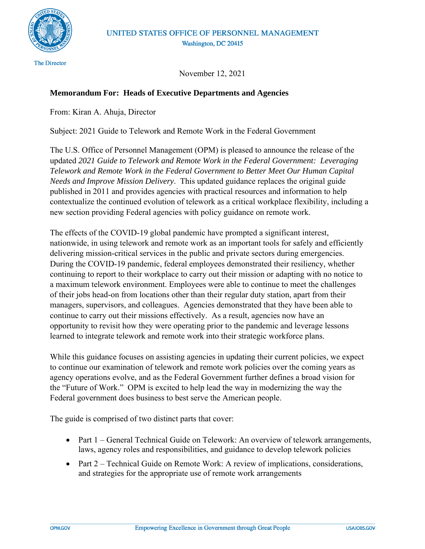

November 12, 2021

## **Memorandum For: Heads of Executive Departments and Agencies**

From: Kiran A. Ahuja, Director

Subject: 2021 Guide to Telework and Remote Work in the Federal Government

The U.S. Office of Personnel Management (OPM) is pleased to announce the release of the updated *2021 Guide to Telework and Remote Work in the Federal Government: Leveraging Telework and Remote Work in the Federal Government to Better Meet Our Human Capital Needs and Improve Mission Delivery*. This updated guidance replaces the original guide published in 2011 and provides agencies with practical resources and information to help contextualize the continued evolution of telework as a critical workplace flexibility, including a new section providing Federal agencies with policy guidance on remote work.

The effects of the COVID-19 global pandemic have prompted a significant interest, nationwide, in using telework and remote work as an important tools for safely and efficiently delivering mission-critical services in the public and private sectors during emergencies. During the COVID-19 pandemic, federal employees demonstrated their resiliency, whether continuing to report to their workplace to carry out their mission or adapting with no notice to a maximum telework environment. Employees were able to continue to meet the challenges of their jobs head-on from locations other than their regular duty station, apart from their managers, supervisors, and colleagues. Agencies demonstrated that they have been able to continue to carry out their missions effectively. As a result, agencies now have an opportunity to revisit how they were operating prior to the pandemic and leverage lessons learned to integrate telework and remote work into their strategic workforce plans.

While this guidance focuses on assisting agencies in updating their current policies, we expect to continue our examination of telework and remote work policies over the coming years as agency operations evolve, and as the Federal Government further defines a broad vision for the "Future of Work." OPM is excited to help lead the way in modernizing the way the Federal government does business to best serve the American people.

The guide is comprised of two distinct parts that cover:

- Part 1 General Technical Guide on Telework: An overview of telework arrangements, laws, agency roles and responsibilities, and guidance to develop telework policies
- Part 2 Technical Guide on Remote Work: A review of implications, considerations, and strategies for the appropriate use of remote work arrangements